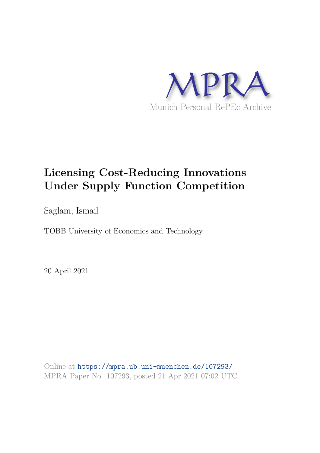

# **Licensing Cost-Reducing Innovations Under Supply Function Competition**

Saglam, Ismail

TOBB University of Economics and Technology

20 April 2021

Online at https://mpra.ub.uni-muenchen.de/107293/ MPRA Paper No. 107293, posted 21 Apr 2021 07:02 UTC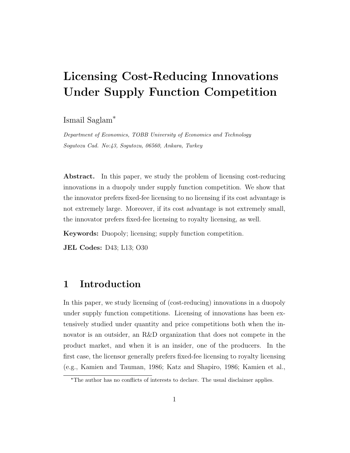# Licensing Cost-Reducing Innovations Under Supply Function Competition

Ismail Saglam✯

*Department of Economics, TOBB University of Economics and Technology Sogutozu Cad. No:43, Sogutozu, 06560, Ankara, Turkey*

Abstract. In this paper, we study the problem of licensing cost-reducing innovations in a duopoly under supply function competition. We show that the innovator prefers fixed-fee licensing to no licensing if its cost advantage is not extremely large. Moreover, if its cost advantage is not extremely small, the innovator prefers fixed-fee licensing to royalty licensing, as well.

Keywords: Duopoly; licensing; supply function competition.

JEL Codes: D43; L13; O30

## 1 Introduction

In this paper, we study licensing of (cost-reducing) innovations in a duopoly under supply function competitions. Licensing of innovations has been extensively studied under quantity and price competitions both when the innovator is an outsider, an R&D organization that does not compete in the product market, and when it is an insider, one of the producers. In the first case, the licensor generally prefers fixed-fee licensing to royalty licensing (e.g., Kamien and Tauman, 1986; Katz and Shapiro, 1986; Kamien et al.,

<sup>✯</sup>The author has no conflicts of interests to declare. The usual disclaimer applies.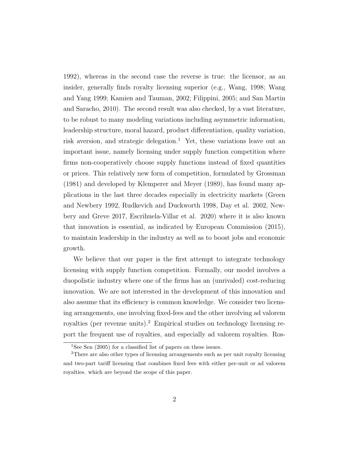1992), whereas in the second case the reverse is true: the licensor, as an insider, generally finds royalty licensing superior (e.g., Wang, 1998; Wang and Yang 1999; Kamien and Tauman, 2002; Filippini, 2005; and San Martin and Saracho, 2010). The second result was also checked, by a vast literature, to be robust to many modeling variations including asymmetric information, leadership structure, moral hazard, product differentiation, quality variation, risk aversion, and strategic delegation.<sup>1</sup> Yet, these variations leave out an important issue, namely licensing under supply function competition where firms non-cooperatively choose supply functions instead of fixed quantities or prices. This relatively new form of competition, formulated by Grossman (1981) and developed by Klemperer and Meyer (1989), has found many applications in the last three decades especially in electricity markets (Green and Newbery 1992, Rudkevich and Duckworth 1998, Day et al. 2002, Newbery and Greve 2017, Escrihuela-Villar et al. 2020) where it is also known that innovation is essential, as indicated by European Commission (2015), to maintain leadership in the industry as well as to boost jobs and economic growth.

We believe that our paper is the first attempt to integrate technology licensing with supply function competition. Formally, our model involves a duopolistic industry where one of the firms has an (unrivaled) cost-reducing innovation. We are not interested in the development of this innovation and also assume that its efficiency is common knowledge. We consider two licensing arrangements, one involving fixed-fees and the other involving ad valorem royalties (per revenue units).<sup>2</sup> Empirical studies on technology licensing report the frequent use of royalties, and especially ad valorem royalties. Ros-

<sup>&</sup>lt;sup>1</sup>See Sen (2005) for a classified list of papers on these issues.

<sup>2</sup>There are also other types of licensing arrangements such as per unit royalty licensing and two-part tariff licensing that combines fixed fees with either per-unit or ad valorem royalties. which are beyond the scope of this paper.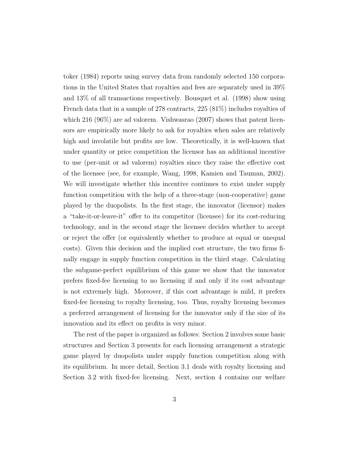toker (1984) reports using survey data from randomly selected 150 corporations in the United States that royalties and fees are separately used in 39% and 13% of all transactions respectively. Bousquet et al. (1998) show using French data that in a sample of 278 contracts, 225 (81%) includes royalties of which 216 (96%) are ad valorem. Vishwasrao (2007) shows that patent licensors are empirically more likely to ask for royalties when sales are relatively high and involatile but profits are low. Theoretically, it is well-known that under quantity or price competition the licensor has an additional incentive to use (per-unit or ad valorem) royalties since they raise the effective cost of the licensee (see, for example, Wang, 1998, Kamien and Tauman, 2002). We will investigate whether this incentive continues to exist under supply function competition with the help of a three-stage (non-cooperative) game played by the duopolists. In the first stage, the innovator (licensor) makes a "take-it-or-leave-it" offer to its competitor (licensee) for its cost-reducing technology, and in the second stage the licensee decides whether to accept or reject the offer (or equivalently whether to produce at equal or unequal costs). Given this decision and the implied cost structure, the two firms finally engage in supply function competition in the third stage. Calculating the subgame-perfect equilibrium of this game we show that the innovator prefers fixed-fee licensing to no licensing if and only if its cost advantage is not extremely high. Moreover, if this cost advantage is mild, it prefers fixed-fee licensing to royalty licensing, too. Thus, royalty licensing becomes a preferred arrangement of licensing for the innovator only if the size of its innovation and its effect on profits is very minor.

The rest of the paper is organized as follows: Section 2 involves some basic structures and Section 3 presents for each licensing arrangement a strategic game played by duopolists under supply function competition along with its equilibrium. In more detail, Section 3.1 deals with royalty licensing and Section 3.2 with fixed-fee licensing. Next, section 4 contains our welfare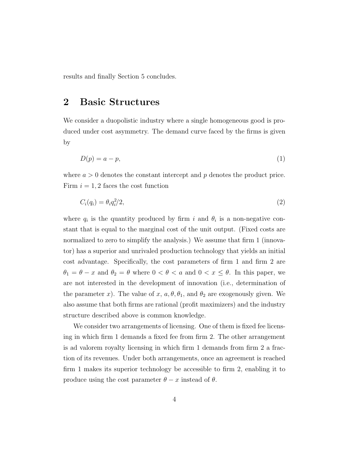results and finally Section 5 concludes.

# 2 Basic Structures

We consider a duopolistic industry where a single homogeneous good is produced under cost asymmetry. The demand curve faced by the firms is given by

$$
D(p) = a - p,\tag{1}
$$

where  $a > 0$  denotes the constant intercept and p denotes the product price. Firm  $i = 1, 2$  faces the cost function

$$
C_i(q_i) = \theta_i q_i^2 / 2,\tag{2}
$$

where  $q_i$  is the quantity produced by firm i and  $\theta_i$  is a non-negative constant that is equal to the marginal cost of the unit output. (Fixed costs are normalized to zero to simplify the analysis.) We assume that firm 1 (innovator) has a superior and unrivaled production technology that yields an initial cost advantage. Specifically, the cost parameters of firm 1 and firm 2 are  $\theta_1 = \theta - x$  and  $\theta_2 = \theta$  where  $0 < \theta < a$  and  $0 < x \leq \theta$ . In this paper, we are not interested in the development of innovation (i.e., determination of the parameter x). The value of x,  $a, \theta, \theta_1$ , and  $\theta_2$  are exogenously given. We also assume that both firms are rational (profit maximizers) and the industry structure described above is common knowledge.

We consider two arrangements of licensing. One of them is fixed fee licensing in which firm 1 demands a fixed fee from firm 2. The other arrangement is ad valorem royalty licensing in which firm 1 demands from firm 2 a fraction of its revenues. Under both arrangements, once an agreement is reached firm 1 makes its superior technology be accessible to firm 2, enabling it to produce using the cost parameter  $\theta - x$  instead of  $\theta$ .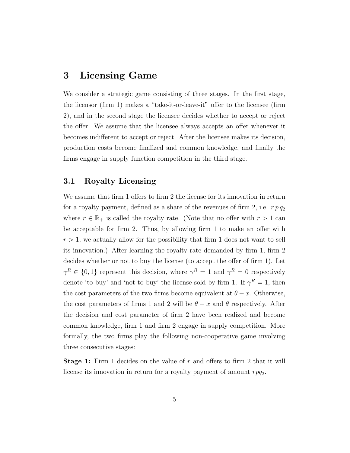## 3 Licensing Game

We consider a strategic game consisting of three stages. In the first stage, the licensor (firm 1) makes a "take-it-or-leave-it" offer to the licensee (firm 2), and in the second stage the licensee decides whether to accept or reject the offer. We assume that the licensee always accepts an offer whenever it becomes indifferent to accept or reject. After the licensee makes its decision, production costs become finalized and common knowledge, and finally the firms engage in supply function competition in the third stage.

## 3.1 Royalty Licensing

We assume that firm 1 offers to firm 2 the license for its innovation in return for a royalty payment, defined as a share of the revenues of firm 2, i.e.  $r p q_2$ where  $r \in \mathbb{R}_+$  is called the royalty rate. (Note that no offer with  $r > 1$  can be acceptable for firm 2. Thus, by allowing firm 1 to make an offer with  $r > 1$ , we actually allow for the possibility that firm 1 does not want to sell its innovation.) After learning the royalty rate demanded by firm 1, firm 2 decides whether or not to buy the license (to accept the offer of firm 1). Let  $\gamma^R \in \{0,1\}$  represent this decision, where  $\gamma^R = 1$  and  $\gamma^R = 0$  respectively denote 'to buy' and 'not to buy' the license sold by firm 1. If  $\gamma^R = 1$ , then the cost parameters of the two firms become equivalent at  $\theta - x$ . Otherwise, the cost parameters of firms 1 and 2 will be  $\theta - x$  and  $\theta$  respectively. After the decision and cost parameter of firm 2 have been realized and become common knowledge, firm 1 and firm 2 engage in supply competition. More formally, the two firms play the following non-cooperative game involving three consecutive stages:

Stage 1: Firm 1 decides on the value of r and offers to firm 2 that it will license its innovation in return for a royalty payment of amount  $rpq_2$ .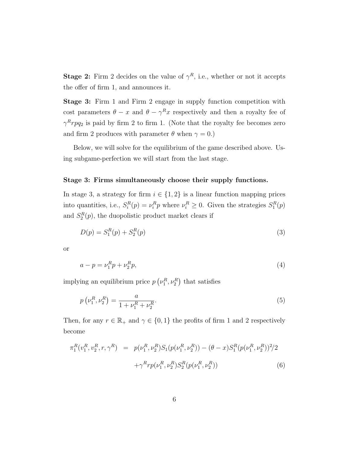**Stage 2:** Firm 2 decides on the value of  $\gamma^R$ , i.e., whether or not it accepts the offer of firm 1, and announces it.

Stage 3: Firm 1 and Firm 2 engage in supply function competition with cost parameters  $\theta - x$  and  $\theta - \gamma^R x$  respectively and then a royalty fee of  $\gamma^R r p q_2$  is paid by firm 2 to firm 1. (Note that the royalty fee becomes zero and firm 2 produces with parameter  $\theta$  when  $\gamma = 0$ .)

Below, we will solve for the equilibrium of the game described above. Using subgame-perfection we will start from the last stage.

#### Stage 3: Firms simultaneously choose their supply functions.

In stage 3, a strategy for firm  $i \in \{1,2\}$  is a linear function mapping prices into quantities, i.e.,  $S_i^R(p) = \nu_i^R p$  where  $\nu_i^R \geq 0$ . Given the strategies  $S_1^R(p)$ and  $S_2^R(p)$ , the duopolistic product market clears if

$$
D(p) = S_1^R(p) + S_2^R(p)
$$
\n(3)

or

$$
a - p = \nu_1^R p + \nu_2^R p,\tag{4}
$$

implying an equilibrium price  $p\left(\nu_1^R, \nu_2^R\right)$  that satisfies

$$
p(\nu_1^R, \nu_2^R) = \frac{a}{1 + \nu_1^R + \nu_2^R}.
$$
\n(5)

Then, for any  $r \in \mathbb{R}_+$  and  $\gamma \in \{0,1\}$  the profits of firm 1 and 2 respectively become

$$
\pi_1^R(v_1^R, v_2^R, r, \gamma^R) = p(\nu_1^R, \nu_2^R) S_1(p(\nu_1^R, \nu_2^R)) - (\theta - x) S_1^R(p(\nu_1^R, \nu_2^R))^2 / 2 \n+ \gamma^R r p(\nu_1^R, \nu_2^R) S_2^R(p(\nu_1^R, \nu_2^R))
$$
\n(6)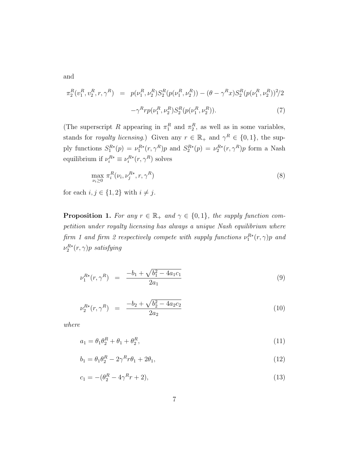and

$$
\pi_2^R(\nu_1^R, \nu_2^R, r, \gamma^R) = p(\nu_1^R, \nu_2^R) S_2^R(p(\nu_1^R, \nu_2^R)) - (\theta - \gamma^R x) S_2^R(p(\nu_1^R, \nu_2^R))^2 / 2 \n- \gamma^R r p(\nu_1^R, \nu_2^R) S_2^R(p(\nu_1^R, \nu_2^R)).
$$
\n(7)

(The superscript R appearing in  $\pi_1^R$  and  $\pi_2^R$ , as well as in some variables, stands for *royalty licensing*.) Given any  $r \in \mathbb{R}_+$  and  $\gamma^R \in \{0,1\}$ , the supply functions  $S_1^{R*}(p) = \nu_1^{R*}(r, \gamma^R)p$  and  $S_2^{R*}(p) = \nu_2^{R*}(r, \gamma^R)p$  form a Nash equilibrium if  $\nu_i^{R*} \equiv \nu_i^{R*}(r, \gamma^R)$  solves

$$
\max_{\nu_i \ge 0} \pi_i^R(\nu_i, \nu_j^{R*}, r, \gamma^R) \tag{8}
$$

for each  $i, j \in \{1, 2\}$  with  $i \neq j$ .

**Proposition 1.** For any  $r \in \mathbb{R}_+$  and  $\gamma \in \{0,1\}$ , the supply function competition under royalty licensing has always a unique Nash equilibrium where firm 1 and firm 2 respectively compete with supply functions  $\nu_1^{R*}(r,\gamma)p$  and  $\nu^{R*}_2(r,\gamma)p$  satisfying

$$
\nu_1^{R*}(r,\gamma^R) = \frac{-b_1 + \sqrt{b_1^2 - 4a_1c_1}}{2a_1} \tag{9}
$$

$$
\nu_2^{R*}(r,\gamma^R) = \frac{-b_2 + \sqrt{b_2^2 - 4a_2c_2}}{2a_2} \tag{10}
$$

where

$$
a_1 = \theta_1 \theta_2^R + \theta_1 + \theta_2^R,\tag{11}
$$

$$
b_1 = \theta_1 \theta_2^R - 2\gamma^R r \theta_1 + 2\theta_1,\tag{12}
$$

$$
c_1 = -(\theta_2^R - 4\gamma^R r + 2),\tag{13}
$$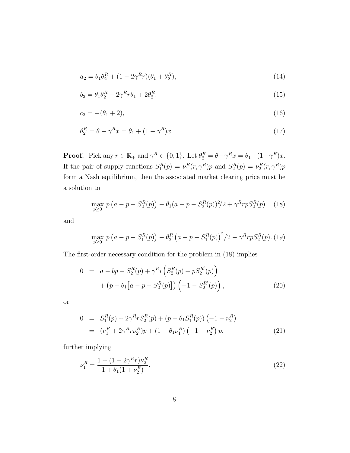$$
a_2 = \theta_1 \theta_2^R + (1 - 2\gamma^R r)(\theta_1 + \theta_2^R), \tag{14}
$$

$$
b_2 = \theta_1 \theta_2^R - 2\gamma^R r \theta_1 + 2\theta_2^R,\tag{15}
$$

$$
c_2 = -(\theta_1 + 2),\tag{16}
$$

$$
\theta_2^R = \theta - \gamma^R x = \theta_1 + (1 - \gamma^R) x. \tag{17}
$$

**Proof.** Pick any  $r \in \mathbb{R}_+$  and  $\gamma^R \in \{0, 1\}$ . Let  $\theta_2^R = \theta - \gamma^R x = \theta_1 + (1 - \gamma^R) x$ . If the pair of supply functions  $S_1^R(p) = \nu_1^R(r, \gamma^R)p$  and  $S_2^R(p) = \nu_2^R(r, \gamma^R)p$ form a Nash equilibrium, then the associated market clearing price must be a solution to

$$
\max_{p\geq 0} p(a - p - S_2^R(p)) - \theta_1(a - p - S_2^R(p))^2/2 + \gamma^R r p S_2^R(p) \tag{18}
$$

and

$$
\max_{p\geq 0} p(a - p - S_1^R(p)) - \theta_2^R (a - p - S_1^R(p))^2 / 2 - \gamma^R r p S_2^R(p).
$$
 (19)

The first-order necessary condition for the problem in (18) implies

$$
0 = a - bp - S_2^R(p) + \gamma^R r \left( S_2^R(p) + p S_2^{R'}(p) \right) + \left( p - \theta_1 \left[ a - p - S_2^R(p) \right] \right) \left( -1 - S_2^{R'}(p) \right),
$$
(20)

or

$$
0 = S_1^R(p) + 2\gamma^R r S_2^R(p) + (p - \theta_1 S_1^R(p)) (-1 - \nu_2^R)
$$
  
= 
$$
(\nu_1^R + 2\gamma^R r \nu_2^R) p + (1 - \theta_1 \nu_1^R) (-1 - \nu_2^R) p,
$$
 (21)

further implying

$$
\nu_1^R = \frac{1 + (1 - 2\gamma^R r)\nu_2^R}{1 + \theta_1(1 + \nu_2^R)}.\tag{22}
$$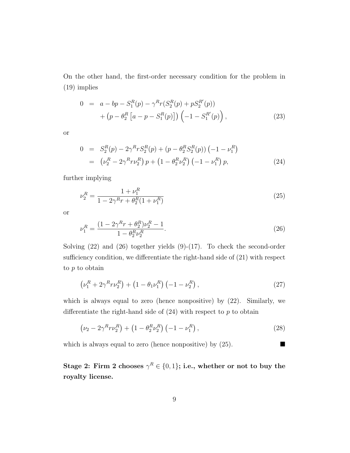On the other hand, the first-order necessary condition for the problem in (19) implies

$$
0 = a - bp - S_1^R(p) - \gamma^R r (S_2^R(p) + p S_2^{R'}(p)) + (p - \theta_2^R [a - p - S_1^R(p)]) (-1 - S_1^{R'}(p)),
$$
\n(23)

or

$$
0 = S_2^R(p) - 2\gamma^R r S_2^R(p) + (p - \theta_2^R S_2^R(p)) (-1 - \nu_1^R)
$$
  
= 
$$
(\nu_2^R - 2\gamma^R r \nu_2^R) p + (1 - \theta_2^R \nu_2^R) (-1 - \nu_1^R) p,
$$
 (24)

further implying

$$
\nu_2^R = \frac{1 + \nu_1^R}{1 - 2\gamma^R r + \theta_2^R (1 + \nu_1^R)}\tag{25}
$$

or

$$
\nu_1^R = \frac{(1 - 2\gamma^R r + \theta_2^R)\nu_2^R - 1}{1 - \theta_2^R \nu_2^R}.
$$
\n(26)

Solving  $(22)$  and  $(26)$  together yields  $(9)-(17)$ . To check the second-order sufficiency condition, we differentiate the right-hand side of (21) with respect to p to obtain

$$
\left(\nu_1^R + 2\gamma^R r \nu_2^R\right) + \left(1 - \theta_1 \nu_1^R\right) \left(-1 - \nu_2^R\right),\tag{27}
$$

which is always equal to zero (hence nonpositive) by (22). Similarly, we differentiate the right-hand side of  $(24)$  with respect to p to obtain

$$
\left(\nu_2 - 2\gamma^R r \nu_2^R\right) + \left(1 - \theta_2^R \nu_2^R\right) \left(-1 - \nu_1^R\right),\tag{28}
$$

which is always equal to zero (hence nonpositive) by  $(25)$ .

Stage 2: Firm 2 chooses  $\gamma^R \in \{0,1\}$ ; i.e., whether or not to buy the royalty license.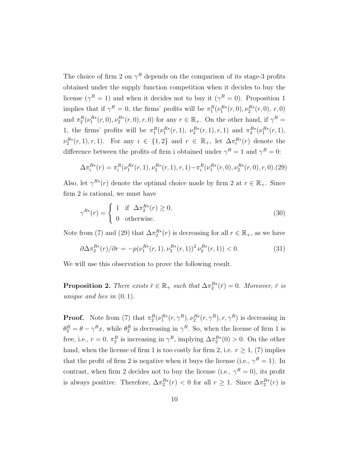The choice of firm 2 on  $\gamma^R$  depends on the comparison of its stage-3 profits obtained under the supply function competition when it decides to buy the license ( $\gamma^R = 1$ ) and when it decides not to buy it ( $\gamma^R = 0$ ). Proposition 1 implies that if  $\gamma^R = 0$ , the firms' profits will be  $\pi_1^R(\nu_1^{R*}(r,0), \nu_2^{R*}(r,0), r, 0)$ and  $\pi_2^R(\nu_1^{R*}(r,0), \nu_2^{R*}(r,0), r, 0)$  for any  $r \in \mathbb{R}_+$ . On the other hand, if  $\gamma^R =$ 1, the firms' profits will be  $\pi_1^R(\nu_1^{R*}(r,1), \nu_2^{R*}(r,1), r, 1)$  and  $\pi_2^{R*}(\nu_1^{R*}(r,1),$  $\nu_2^{R*}(r,1), r, 1$ . For any  $i \in \{1,2\}$  and  $r \in \mathbb{R}_+$ , let  $\Delta \pi_i^{R*}(r)$  denote the difference between the profits of firm i obtained under  $\gamma^R = 1$  and  $\gamma^R = 0$ :

$$
\Delta \pi_i^{R*}(r) = \pi_i^R(\nu_1^{R*}(r, 1), \nu_2^{R*}(r, 1), r, 1) - \pi_i^R(\nu_1^{R*}(r, 0), \nu_2^{R*}(r, 0), r, 0). (29)
$$

Also, let  $\gamma^{R*}(r)$  denote the optimal choice made by firm 2 at  $r \in \mathbb{R}_{+}$ . Since firm 2 is rational, we must have

$$
\gamma^{R*}(r) = \begin{cases} 1 & \text{if } \Delta \pi_2^{R*}(r) \ge 0, \\ 0 & \text{otherwise.} \end{cases}
$$
 (30)

Note from (7) and (29) that  $\Delta \pi_2^{R*}(r)$  is decreasing for all  $r \in \mathbb{R}_+$ , as we have

$$
\partial \Delta \pi_2^{R*}(r) / \partial r = -p(\nu_1^{R*}(r, 1), \nu_2^{R*}(r, 1))^2 \nu_2^{R*}(r, 1)) < 0. \tag{31}
$$

We will use this observation to prove the following result.

**Proposition 2.** There exists  $\bar{r} \in \mathbb{R}_+$  such that  $\Delta \pi_2^{R*}(\bar{r}) = 0$ . Moreover,  $\bar{r}$  is unique and lies in  $(0, 1)$ .

**Proof.** Note from (7) that  $\pi_2^R(\nu_1^{R*}(r,\gamma^R), \nu_2^{R*}(r,\gamma^R), r, \gamma^R)$  is decreasing in  $\theta_2^R = \theta - \gamma^R x$ , while  $\theta_2^R$  is decreasing in  $\gamma^R$ . So, when the license of firm 1 is free, i.e.,  $r = 0$ ,  $\pi_2^R$  is increasing in  $\gamma^R$ , implying  $\Delta \pi_2^{R*}(0) > 0$ . On the other hand, when the license of firm 1 is too costly for firm 2, i.e.  $r \geq 1$ , (7) implies that the profit of firm 2 is negative when it buys the license (i.e.,  $\gamma^R = 1$ ). In contrast, when firm 2 decides not to buy the license (i.e.,  $\gamma^R = 0$ ), its profit is always positive. Therefore,  $\Delta \pi_2^{R*}(r) < 0$  for all  $r \geq 1$ . Since  $\Delta \pi_2^{R*}(r)$  is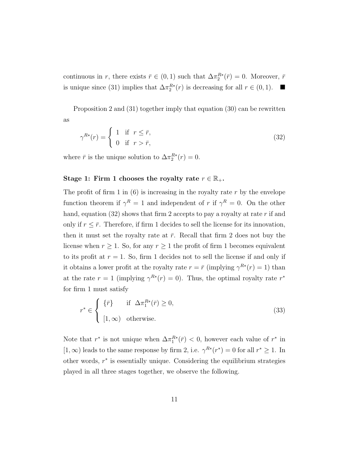continuous in r, there exists  $\bar{r} \in (0,1)$  such that  $\Delta \pi_2^{R*}(\bar{r}) = 0$ . Moreover,  $\bar{r}$ is unique since (31) implies that  $\Delta \pi_2^{R*}(r)$  is decreasing for all  $r \in (0,1)$ .  $\blacksquare$ 

Proposition 2 and (31) together imply that equation (30) can be rewritten as

$$
\gamma^{R*}(r) = \begin{cases} 1 & \text{if } r \leq \bar{r}, \\ 0 & \text{if } r > \bar{r}, \end{cases}
$$
 (32)

where  $\bar{r}$  is the unique solution to  $\Delta \pi_2^{R*}(r) = 0$ .

### Stage 1: Firm 1 chooses the royalty rate  $r \in \mathbb{R}_+$ .

The profit of firm 1 in  $(6)$  is increasing in the royalty rate r by the envelope function theorem if  $\gamma^R = 1$  and independent of r if  $\gamma^R = 0$ . On the other hand, equation (32) shows that firm 2 accepts to pay a royalty at rate  $r$  if and only if  $r < \bar{r}$ . Therefore, if firm 1 decides to sell the license for its innovation, then it must set the royalty rate at  $\bar{r}$ . Recall that firm 2 does not buy the license when  $r \geq 1$ . So, for any  $r \geq 1$  the profit of firm 1 becomes equivalent to its profit at  $r = 1$ . So, firm 1 decides not to sell the license if and only if it obtains a lower profit at the royalty rate  $r = \bar{r}$  (implying  $\gamma^{R*}(r) = 1$ ) than at the rate  $r = 1$  (implying  $\gamma^{R*}(r) = 0$ ). Thus, the optimal royalty rate  $r^*$ for firm 1 must satisfy

$$
r^* \in \begin{cases} \{\bar{r}\} & \text{if } \Delta \pi_1^{R*}(\bar{r}) \ge 0, \\ [1, \infty) & \text{otherwise.} \end{cases}
$$
 (33)

Note that  $r^*$  is not unique when  $\Delta \pi_1^{R*}(\bar{r}) < 0$ , however each value of  $r^*$  in  $[1,\infty)$  leads to the same response by firm 2, i.e.  $\gamma^{R*}(r^*)=0$  for all  $r^*\geq 1$ . In other words,  $r^*$  is essentially unique. Considering the equilibrium strategies played in all three stages together, we observe the following.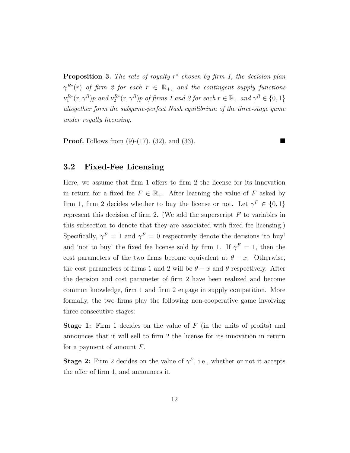**Proposition 3.** The rate of royalty  $r^*$  chosen by firm 1, the decision plan  $\gamma^{R*}(r)$  of firm 2 for each  $r \in \mathbb{R}_{+}$ , and the contingent supply functions  $\nu_1^{R*}(r, \gamma^R)p$  and  $\nu_2^{R*}(r, \gamma^R)p$  of firms 1 and 2 for each  $r \in \mathbb{R}_+$  and  $\gamma^R \in \{0, 1\}$ altogether form the subgame-perfect Nash equilibrium of the three-stage game under royalty licensing.

**Proof.** Follows from  $(9)$ - $(17)$ ,  $(32)$ , and  $(33)$ .

## 3.2 Fixed-Fee Licensing

Here, we assume that firm 1 offers to firm 2 the license for its innovation in return for a fixed fee  $F \in \mathbb{R}_+$ . After learning the value of F asked by firm 1, firm 2 decides whether to buy the license or not. Let  $\gamma^F \in \{0,1\}$ represent this decision of firm 2. (We add the superscript  $F$  to variables in this subsection to denote that they are associated with fixed fee licensing.) Specifically,  $\gamma^F = 1$  and  $\gamma^F = 0$  respectively denote the decisions 'to buy' and 'not to buy' the fixed fee license sold by firm 1. If  $\gamma^F = 1$ , then the cost parameters of the two firms become equivalent at  $\theta - x$ . Otherwise, the cost parameters of firms 1 and 2 will be  $\theta - x$  and  $\theta$  respectively. After the decision and cost parameter of firm 2 have been realized and become common knowledge, firm 1 and firm 2 engage in supply competition. More formally, the two firms play the following non-cooperative game involving three consecutive stages:

Stage 1: Firm 1 decides on the value of F (in the units of profits) and announces that it will sell to firm 2 the license for its innovation in return for a payment of amount  $F$ .

**Stage 2:** Firm 2 decides on the value of  $\gamma^F$ , i.e., whether or not it accepts the offer of firm 1, and announces it.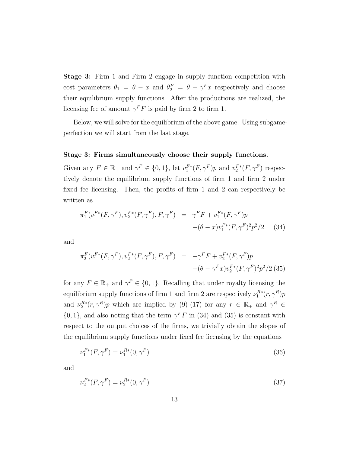Stage 3: Firm 1 and Firm 2 engage in supply function competition with cost parameters  $\theta_1 = \theta - x$  and  $\theta_2^F = \theta - \gamma^F x$  respectively and choose their equilibrium supply functions. After the productions are realized, the licensing fee of amount  $\gamma^F F$  is paid by firm 2 to firm 1.

Below, we will solve for the equilibrium of the above game. Using subgameperfection we will start from the last stage.

### Stage 3: Firms simultaneously choose their supply functions.

Given any  $F \in \mathbb{R}_+$  and  $\gamma^F \in \{0,1\}$ , let  $v_1^{F*}(F, \gamma^F)p$  and  $v_2^{F*}(F, \gamma^F)$  respectively denote the equilibrium supply functions of firm 1 and firm 2 under fixed fee licensing. Then, the profits of firm 1 and 2 can respectively be written as

$$
\pi_1^F(v_1^{F*}(F,\gamma^F), v_2^{F*}(F,\gamma^F), F, \gamma^F) = \gamma^F F + v_1^{F*}(F,\gamma^F) p
$$
  
-( $\theta - x$ ) $v_1^{F*}(F,\gamma^F)^2 p^2/2$  (34)

and

$$
\pi_2^F(v_1^{F*}(F,\gamma^F), v_2^{F*}(F,\gamma^F), F, \gamma^F) = -\gamma^F F + v_2^{F*}(F,\gamma^F)p
$$
  
 
$$
-(\theta - \gamma^F x)v_2^{F*}(F,\gamma^F)^2p^2/2
$$
 (35)

for any  $F \in \mathbb{R}_+$  and  $\gamma^F \in \{0, 1\}$ . Recalling that under royalty licensing the equilibrium supply functions of firm 1 and firm 2 are respectively  $\nu_1^{R*}(r, \gamma^R)p$ and  $\nu_2^{R*}(r, \gamma^R)p$  which are implied by (9)-(17) for any  $r \in \mathbb{R}_+$  and  $\gamma^R \in$  $\{0, 1\}$ , and also noting that the term  $\gamma^F F$  in (34) and (35) is constant with respect to the output choices of the firms, we trivially obtain the slopes of the equilibrium supply functions under fixed fee licensing by the equations

$$
\nu_1^{F*}(F, \gamma^F) = \nu_1^{R*}(0, \gamma^F)
$$
\n(36)

and

$$
\nu_2^{F*}(F, \gamma^F) = \nu_2^{R*}(0, \gamma^F)
$$
\n(37)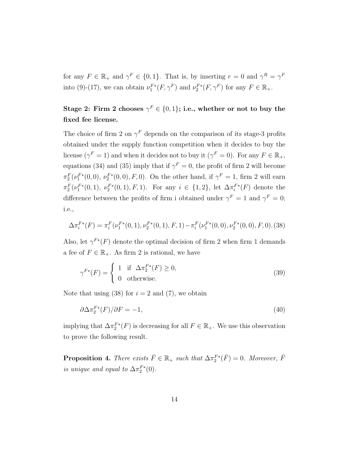for any  $F \in \mathbb{R}_+$  and  $\gamma^F \in \{0,1\}$ . That is, by inserting  $r = 0$  and  $\gamma^R = \gamma^F$ into (9)-(17), we can obtain  $\nu_1^{F*}(F, \gamma^F)$  and  $\nu_2^{F*}(F, \gamma^F)$  for any  $F \in \mathbb{R}_+$ .

## Stage 2: Firm 2 chooses  $\gamma^F\in\{0,1\};$  i.e., whether or not to buy the fixed fee license.

The choice of firm 2 on  $\gamma^F$  depends on the comparison of its stage-3 profits obtained under the supply function competition when it decides to buy the license ( $\gamma^F = 1$ ) and when it decides not to buy it ( $\gamma^F = 0$ ). For any  $F \in \mathbb{R}_+$ , equations (34) and (35) imply that if  $\gamma^F = 0$ , the profit of firm 2 will become  $\pi_2^F(\nu_1^{F*}(0,0), \nu_2^{F*}(0,0), F, 0)$ . On the other hand, if  $\gamma^F = 1$ , firm 2 will earn  $\pi_2^F(\nu_1^{F*}(0,1), \nu_2^{F*}(0,1), F, 1)$ . For any  $i \in \{1,2\}$ , let  $\Delta \pi_i^{F*}(F)$  denote the difference between the profits of firm i obtained under  $\gamma^F = 1$  and  $\gamma^F = 0$ ; i.e.,

$$
\Delta \pi_i^{F*}(F) = \pi_i^{F}(\nu_1^{F*}(0,1), \nu_2^{F*}(0,1), F, 1) - \pi_i^{F}(\nu_1^{F*}(0,0), \nu_2^{F*}(0,0), F, 0). (38)
$$

Also, let  $\gamma^{F^*}(F)$  denote the optimal decision of firm 2 when firm 1 demands a fee of  $F \in \mathbb{R}_+$ . As firm 2 is rational, we have

$$
\gamma^{F*}(F) = \begin{cases} 1 & \text{if } \Delta \pi_2^{F*}(F) \ge 0, \\ 0 & \text{otherwise.} \end{cases}
$$
 (39)

Note that using (38) for  $i = 2$  and (7), we obtain

$$
\partial \Delta \pi_2^{F*}(F) / \partial F = -1,\tag{40}
$$

implying that  $\Delta \pi_2^{F*}(F)$  is decreasing for all  $F \in \mathbb{R}_+$ . We use this observation to prove the following result.

**Proposition 4.** There exists  $\bar{F} \in \mathbb{R}_+$  such that  $\Delta \pi_2^{F*}(\bar{F}) = 0$ . Moreover,  $\bar{F}$ is unique and equal to  $\Delta \pi_2^{F*}(0)$ .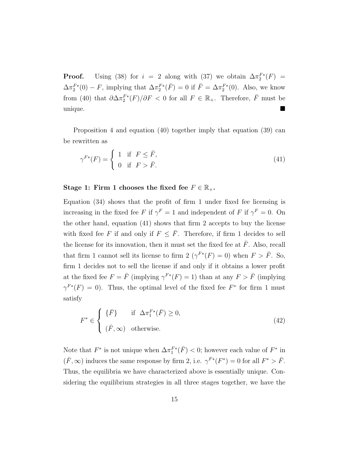**Proof.** Using (38) for  $i = 2$  along with (37) we obtain  $\Delta \pi_2^{F*}(F) =$  $\Delta \pi_2^{F*}(0) - F$ , implying that  $\Delta \pi_2^{F*}(\bar{F}) = 0$  if  $\bar{F} = \Delta \pi_2^{F*}(0)$ . Also, we know from (40) that  $\partial \Delta \pi_2^{F^*}(F)/\partial F < 0$  for all  $F \in \mathbb{R}_+$ . Therefore,  $\overline{F}$  must be unique.

Proposition 4 and equation (40) together imply that equation (39) can be rewritten as

$$
\gamma^{F*}(F) = \begin{cases} 1 & \text{if } F \le \bar{F}, \\ 0 & \text{if } F > \bar{F}. \end{cases}
$$
(41)

#### Stage 1: Firm 1 chooses the fixed fee  $F \in \mathbb{R}_+$ .

Equation (34) shows that the profit of firm 1 under fixed fee licensing is increasing in the fixed fee F if  $\gamma^F = 1$  and independent of F if  $\gamma^F = 0$ . On the other hand, equation (41) shows that firm 2 accepts to buy the license with fixed fee F if and only if  $F \leq \overline{F}$ . Therefore, if firm 1 decides to sell the license for its innovation, then it must set the fixed fee at  $\bar{F}$ . Also, recall that firm 1 cannot sell its license to firm 2  $(\gamma^{F*}(F) = 0)$  when  $F > \overline{F}$ . So, firm 1 decides not to sell the license if and only if it obtains a lower profit at the fixed fee  $F = \bar{F}$  (implying  $\gamma^{F*}(F) = 1$ ) than at any  $F > \bar{F}$  (implying  $\gamma^{F*}(F) = 0$ ). Thus, the optimal level of the fixed fee  $F^*$  for firm 1 must satisfy

$$
F^* \in \begin{cases} \{\bar{F}\} & \text{if } \Delta \pi_1^{F*}(\bar{F}) \ge 0, \\ (\bar{F}, \infty) & \text{otherwise.} \end{cases}
$$
 (42)

Note that  $F^*$  is not unique when  $\Delta \pi_1^{F*}(\bar{F}) < 0$ ; however each value of  $F^*$  in  $(\bar{F}, \infty)$  induces the same response by firm 2, i.e.  $\gamma^{F*}(F^*) = 0$  for all  $F^* > \bar{F}$ . Thus, the equilibria we have characterized above is essentially unique. Considering the equilibrium strategies in all three stages together, we have the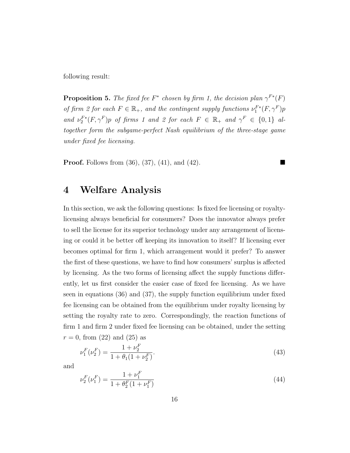following result:

**Proposition 5.** The fixed fee  $F^*$  chosen by firm 1, the decision plan  $\gamma^{F*}(F)$ of firm 2 for each  $F \in \mathbb{R}_+$ , and the contingent supply functions  $\nu_1^{F*}(F, \gamma^F)p$ and  $\nu_2^{F^*}(F, \gamma^F)p$  of firms 1 and 2 for each  $F \in \mathbb{R}_+$  and  $\gamma^F \in \{0,1\}$  altogether form the subgame-perfect Nash equilibrium of the three-stage game under fixed fee licensing.

**Proof.** Follows from  $(36)$ ,  $(37)$ ,  $(41)$ , and  $(42)$ .

## 4 Welfare Analysis

In this section, we ask the following questions: Is fixed fee licensing or royaltylicensing always beneficial for consumers? Does the innovator always prefer to sell the license for its superior technology under any arrangement of licensing or could it be better off keeping its innovation to itself? If licensing ever becomes optimal for firm 1, which arrangement would it prefer? To answer the first of these questions, we have to find how consumers' surplus is affected by licensing. As the two forms of licensing affect the supply functions differently, let us first consider the easier case of fixed fee licensing. As we have seen in equations (36) and (37), the supply function equilibrium under fixed fee licensing can be obtained from the equilibrium under royalty licensing by setting the royalty rate to zero. Correspondingly, the reaction functions of firm 1 and firm 2 under fixed fee licensing can be obtained, under the setting  $r = 0$ , from (22) and (25) as

$$
\nu_1^F(\nu_2^F) = \frac{1 + \nu_2^F}{1 + \theta_1(1 + \nu_2^F)}.\tag{43}
$$

and

$$
\nu_2^F(\nu_1^F) = \frac{1 + \nu_1^F}{1 + \theta_2^F(1 + \nu_1^F)}
$$
\n(44)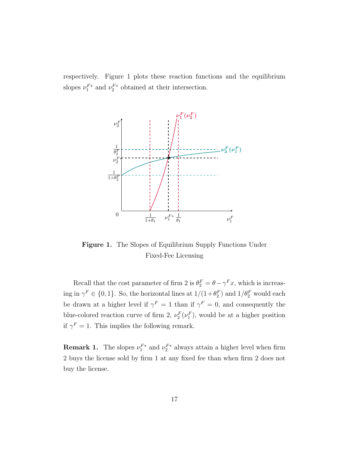respectively. Figure 1 plots these reaction functions and the equilibrium slopes  $\nu_1^{F*}$  and  $\nu_2^{F*}$  obtained at their intersection.



Figure 1. The Slopes of Equilibrium Supply Functions Under Fixed-Fee Licensing

Recall that the cost parameter of firm 2 is  $\theta_2^F = \theta - \gamma^F x$ , which is increasing in  $\gamma^F \in \{0, 1\}$ . So, the horizontal lines at  $1/(1+\theta_2^F)$  and  $1/\theta_2^F$  would each be drawn at a higher level if  $\gamma^F = 1$  than if  $\gamma^F = 0$ , and consequently the blue-colored reaction curve of firm 2,  $\nu_2^F(\nu_1^F)$ , would be at a higher position if  $\gamma^F = 1$ . This implies the following remark.

**Remark 1.** The slopes  $\nu_1^{F*}$  and  $\nu_2^{F*}$  always attain a higher level when firm 2 buys the license sold by firm 1 at any fixed fee than when firm 2 does not buy the license.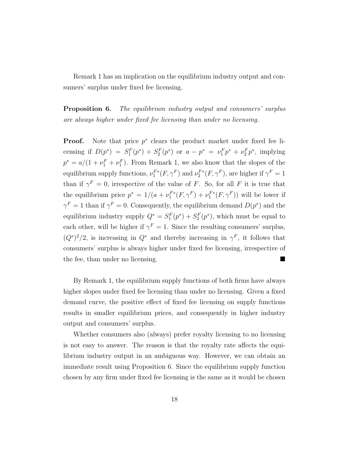Remark 1 has an implication on the equilibrium industry output and consumers' surplus under fixed fee licensing.

**Proposition 6.** The equilibrium industry output and consumers' surplus are always higher under fixed fee licensing than under no licensing.

**Proof.** Note that price  $p^*$  clears the product market under fixed fee licensing if  $D(p^*) = S_1^F(p^*) + S_2^F(p^*)$  or  $a - p^* = \nu_1^F p^* + \nu_2^F p^*$ , implying  $p^* = a/(1 + \nu_1^F + \nu_1^F)$ . From Remark 1, we also know that the slopes of the equilibrium supply functions,  $\nu_1^{F*}(F, \gamma^F)$  and  $\nu_2^{F*}(F, \gamma^F)$ , are higher if  $\gamma^F = 1$ than if  $\gamma^F = 0$ , irrespective of the value of F. So, for all F it is true that the equilibrium price  $p^* = 1/(a + \nu_1^{F*}(F, \gamma^F) + \nu_1^{F*}(F, \gamma^F))$  will be lower if  $\gamma^F = 1$  than if  $\gamma^F = 0$ . Consequently, the equilibrium demand  $D(p^*)$  and the equilibrium industry supply  $Q^* = S_1^F(p^*) + S_2^F(p^*)$ , which must be equal to each other, will be higher if  $\gamma^F = 1$ . Since the resulting consumers' surplus,  $(Q^*)^2/2$ , is increasing in  $Q^*$  and thereby increasing in  $\gamma^F$ , it follows that consumers' surplus is always higher under fixed fee licensing, irrespective of the fee, than under no licensing.

By Remark 1, the equilibrium supply functions of both firms have always higher slopes under fixed fee licensing than under no licensing. Given a fixed demand curve, the positive effect of fixed fee licensing on supply functions results in smaller equilibrium prices, and consequently in higher industry output and consumers' surplus.

Whether consumers also (always) prefer royalty licensing to no licensing is not easy to answer. The reason is that the royalty rate affects the equilibrium industry output in an ambiguous way. However, we can obtain an immediate result using Proposition 6. Since the equilibrium supply function chosen by any firm under fixed fee licensing is the same as it would be chosen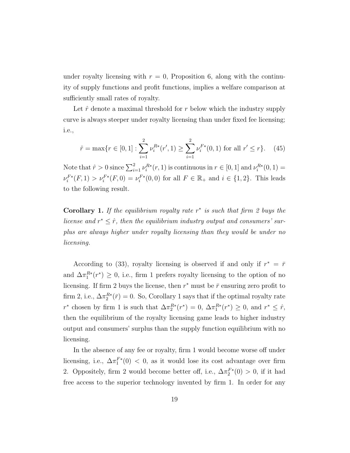under royalty licensing with  $r = 0$ , Proposition 6, along with the continuity of supply functions and profit functions, implies a welfare comparison at sufficiently small rates of royalty.

Let  $\hat{r}$  denote a maximal threshold for r below which the industry supply curve is always steeper under royalty licensing than under fixed fee licensing; i.e.,

$$
\hat{r} = \max\{r \in [0, 1] : \sum_{i=1}^{2} \nu_i^{R*}(r', 1) \ge \sum_{i=1}^{2} \nu_i^{F*}(0, 1) \text{ for all } r' \le r\}. \tag{45}
$$

Note that  $\hat{r} > 0$  since  $\sum_{i=1}^{2} \nu_i^{R*}(r, 1)$  is continuous in  $r \in [0, 1]$  and  $\nu_i^{R*}(0, 1) =$  $\nu_i^{F*}(F,1) > \nu_i^{F*}(F,0) = \nu_i^{F*}(0,0)$  for all  $F \in \mathbb{R}_+$  and  $i \in \{1,2\}$ . This leads to the following result.

Corollary 1. If the equilibrium royalty rate  $r^*$  is such that firm 2 buys the license and  $r^* \leq \hat{r}$ , then the equilibrium industry output and consumers' surplus are always higher under royalty licensing than they would be under no licensing.

According to (33), royalty licensing is observed if and only if  $r^* = \bar{r}$ and  $\Delta \pi_1^{R*}(r^*) \geq 0$ , i.e., firm 1 prefers royalty licensing to the option of no licensing. If firm 2 buys the license, then  $r^*$  must be  $\bar{r}$  ensuring zero profit to firm 2, i.e.,  $\Delta \pi_2^{R*}(\bar{r}) = 0$ . So, Corollary 1 says that if the optimal royalty rate  $r^*$  chosen by firm 1 is such that  $\Delta \pi_2^{R*}(r^*) = 0$ ,  $\Delta \pi_1^{R*}(r^*) \geq 0$ , and  $r^* \leq \hat{r}$ , then the equilibrium of the royalty licensing game leads to higher industry output and consumers' surplus than the supply function equilibrium with no licensing.

In the absence of any fee or royalty, firm 1 would become worse off under licensing, i.e.,  $\Delta \pi_1^{F*}(0) < 0$ , as it would lose its cost advantage over firm 2. Oppositely, firm 2 would become better off, i.e.,  $\Delta \pi_2^{F*}(0) > 0$ , if it had free access to the superior technology invented by firm 1. In order for any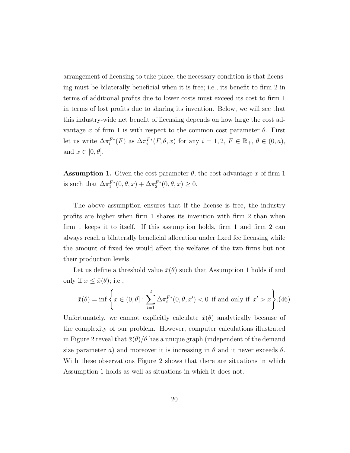arrangement of licensing to take place, the necessary condition is that licensing must be bilaterally beneficial when it is free; i.e., its benefit to firm 2 in terms of additional profits due to lower costs must exceed its cost to firm 1 in terms of lost profits due to sharing its invention. Below, we will see that this industry-wide net benefit of licensing depends on how large the cost advantage x of firm 1 is with respect to the common cost parameter  $\theta$ . First let us write  $\Delta \pi_i^{F*}(F)$  as  $\Delta \pi_i^{F*}(F, \theta, x)$  for any  $i = 1, 2, F \in \mathbb{R}_+, \theta \in (0, a),$ and  $x \in [0, \theta]$ .

**Assumption 1.** Given the cost parameter  $\theta$ , the cost advantage x of firm 1 is such that  $\Delta \pi_1^{F*}(0, \theta, x) + \Delta \pi_2^{F*}(0, \theta, x) \ge 0.$ 

The above assumption ensures that if the license is free, the industry profits are higher when firm 1 shares its invention with firm 2 than when firm 1 keeps it to itself. If this assumption holds, firm 1 and firm 2 can always reach a bilaterally beneficial allocation under fixed fee licensing while the amount of fixed fee would affect the welfares of the two firms but not their production levels.

Let us define a threshold value  $\bar{x}(\theta)$  such that Assumption 1 holds if and only if  $x \leq \bar{x}(\theta)$ ; i.e.,

$$
\bar{x}(\theta) = \inf \left\{ x \in (0, \theta] : \sum_{i=1}^{2} \Delta \pi_i^{F*}(0, \theta, x') < 0 \text{ if and only if } x' > x \right\}.
$$
(46)

Unfortunately, we cannot explicitly calculate  $\bar{x}(\theta)$  analytically because of the complexity of our problem. However, computer calculations illustrated in Figure 2 reveal that  $\bar{x}(\theta)/\theta$  has a unique graph (independent of the demand size parameter a) and moreover it is increasing in  $\theta$  and it never exceeds  $\theta$ . With these observations Figure 2 shows that there are situations in which Assumption 1 holds as well as situations in which it does not.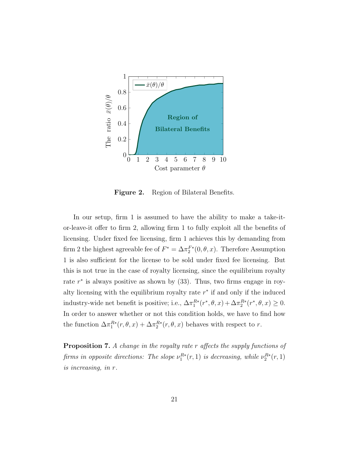

Figure 2. Region of Bilateral Benefits.

In our setup, firm 1 is assumed to have the ability to make a take-itor-leave-it offer to firm 2, allowing firm 1 to fully exploit all the benefits of licensing. Under fixed fee licensing, firm 1 achieves this by demanding from firm 2 the highest agreeable fee of  $F^* = \Delta \pi_2^{F*}(0, \theta, x)$ . Therefore Assumption 1 is also sufficient for the license to be sold under fixed fee licensing. But this is not true in the case of royalty licensing, since the equilibrium royalty rate  $r^*$  is always positive as shown by  $(33)$ . Thus, two firms engage in royalty licensing with the equilibrium royalty rate  $r^*$  if and only if the induced industry-wide net benefit is positive; i.e.,  $\Delta \pi_1^{R*}(r^*, \theta, x) + \Delta \pi_2^{R*}(r^*, \theta, x) \ge 0$ . In order to answer whether or not this condition holds, we have to find how the function  $\Delta \pi_1^{R*}(r, \theta, x) + \Delta \pi_2^{R*}(r, \theta, x)$  behaves with respect to r.

Proposition 7. A change in the royalty rate r affects the supply functions of firms in opposite directions: The slope  $\nu_1^{R*}(r,1)$  is decreasing, while  $\nu_2^{R*}(r,1)$ is increasing, in r.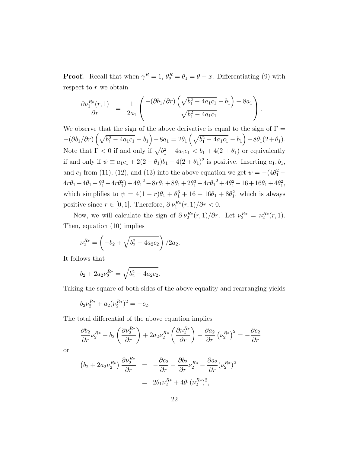**Proof.** Recall that when  $\gamma^R = 1$ ,  $\theta_2^R = \theta_1 = \theta - x$ . Differentiating (9) with respect to r we obtain

$$
\frac{\partial \nu_1^{R*}(r,1)}{\partial r} = \frac{1}{2a_1} \left( \frac{-(\partial b_1/\partial r) \left( \sqrt{b_1^2 - 4a_1c_1} - b_1 \right) - 8a_1}{\sqrt{b_1^2 - 4a_1c_1}} \right).
$$

We observe that the sign of the above derivative is equal to the sign of  $\Gamma =$  $-(\partial b_1/\partial r)\left(\sqrt{b_1^2-4a_1c_1}-b_1\right)-8a_1=2\theta_1\left(\sqrt{b_1^2-4a_1c_1}-b_1\right)-8\theta_1(2+\theta_1).$ Note that  $\Gamma < 0$  if and only if  $\sqrt{b_1^2 - 4a_1c_1} < b_1 + 4(2 + \theta_1)$  or equivalently if and only if  $\psi \equiv a_1c_1 + 2(2+\theta_1)b_1 + 4(2+\theta_1)^2$  is positive. Inserting  $a_1, b_1$ , and  $c_1$  from (11), (12), and (13) into the above equation we get  $\psi = -(4\theta_1^2 4r\theta_1 + 4\theta_1 + \theta_1^3 - 4r\theta_1^2 + 4\theta_1^2 - 8r\theta_1 + 8\theta_1 + 2\theta_1^3 - 4r\theta_1^2 + 4\theta_1^2 + 16 + 16\theta_1 + 4\theta_1^2$ which simplifies to  $\psi = 4(1 - r)\theta_1 + \theta_1^3 + 16 + 16\theta_1 + 8\theta_1^2$ , which is always positive since  $r \in [0, 1]$ . Therefore,  $\partial \nu_1^{R*}(r, 1)/\partial r < 0$ .

Now, we will calculate the sign of  $\partial \nu_2^{R*}(r,1)/\partial r$ . Let  $\nu_2^{R*} = \nu_2^{R*}(r,1)$ . Then, equation (10) implies

$$
\nu_2^{R*} = \left(-b_2 + \sqrt{b_2^2 - 4a_2c_2}\right)/2a_2.
$$

It follows that

$$
b_2 + 2a_2\nu_2^{R*} = \sqrt{b_2^2 - 4a_2c_2}.
$$

Taking the square of both sides of the above equality and rearranging yields

$$
b_2\nu_2^{R*} + a_2(\nu_2^{R*})^2 = -c_2.
$$

The total differential of the above equation implies

$$
\frac{\partial b_2}{\partial r} \nu_2^{R*} + b_2 \left( \frac{\partial \nu_2^{R*}}{\partial r} \right) + 2a_2 \nu_2^{R*} \left( \frac{\partial \nu_2^{R*}}{\partial r} \right) + \frac{\partial a_2}{\partial r} \left( \nu_2^{R*} \right)^2 = -\frac{\partial c_2}{\partial r}
$$

or

$$
\begin{array}{rcl}\n\left(b_2 + 2a_2\nu_2^{R*}\right)\frac{\partial \nu_2^{R*}}{\partial r} & = & -\frac{\partial c_2}{\partial r} - \frac{\partial b_2}{\partial r}\nu_2^{R*} - \frac{\partial a_2}{\partial r}(\nu_2^{R*})^2 \\
& = & 2\theta_1\nu_2^{R*} + 4\theta_1(\nu_2^{R*})^2,\n\end{array}
$$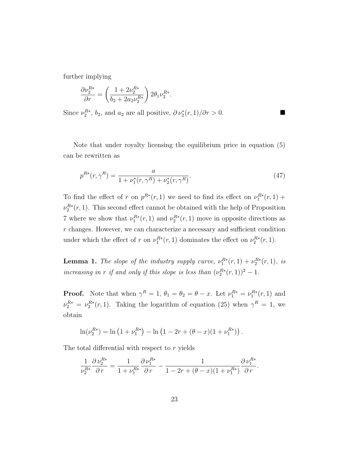further implying

$$
\frac{\partial \nu_2^{R*}}{\partial r} = \left(\frac{1 + 2\nu_2^{R*}}{b_2 + 2a_2\nu_2^{R*}}\right) 2\theta_1 \nu_2^{R*}.
$$

Since  $\nu_2^{R*}, b_2$ , and  $a_2$  are all positive,  $\partial \nu_2^*(r, 1)/\partial r > 0$ .

Note that under royalty licensing the equilibrium price in equation (5) can be rewritten as

$$
p^{R*}(r, \gamma^R) = \frac{a}{1 + \nu_1^*(r, \gamma^R) + \nu_2^*(r, \gamma^R)}.
$$
\n(47)

To find the effect of r on  $p^{R*}(r,1)$  we need to find its effect on  $\nu_1^{R*}(r,1)$  +  $\nu_2^{R*}(r, 1)$ . This second effect cannot be obtained with the help of Proposition 7 where we show that  $\nu_1^{R*}(r,1)$  and  $\nu_2^{R*}(r,1)$  move in opposite directions as r changes. However, we can characterize a necessary and sufficient condition under which the effect of r on  $\nu_1^{R*}(r,1)$  dominates the effect on  $\nu_2^{R*}(r,1)$ .

**Lemma 1.** The slope of the industry supply curve,  $\nu_1^{R*}(r,1) + \nu_2^{R*}(r,1)$ , is increasing in r if and only if this slope is less than  $(\nu_2^{R*}(r,1))^2 - 1$ .

**Proof.** Note that when  $\gamma^R = 1$ ,  $\theta_1 = \theta_2 = \theta - x$ . Let  $\nu_1^{R*} = \nu_1^{R*}(r, 1)$  and  $\nu_2^{R*} = \nu_2^{R*}(r,1)$ . Taking the logarithm of equation (25) when  $\gamma^R = 1$ , we obtain

$$
\ln(\nu_2^{R*}) = \ln(1 + \nu_1^{R*}) - \ln(1 - 2r + (\theta - x)(1 + \nu_1^{R*})).
$$

The total differential with respect to r yields

$$
\frac{1}{\nu_2^{R*}} \frac{\partial \nu_2^{R*}}{\partial r} = \frac{1}{1 + \nu_1^{R*}} \frac{\partial \nu_1^{R*}}{\partial r} - \frac{1}{1 - 2r + (\theta - x)(1 + \nu_1^{R*})} \frac{\partial \nu_1^{R*}}{\partial r}.
$$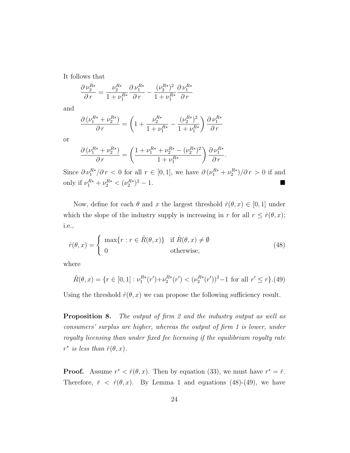It follows that

$$
\frac{\partial \, \nu_2^{R*}}{\partial \, r} = \frac{\nu_2^{R*}}{1 + \nu_1^{R*}} \frac{\partial \, \nu_1^{R*}}{\partial \, r} - \frac{(\nu_2^{R*})^2}{1 + \nu_1^{R*}} \frac{\partial \, \nu_1^{R*}}{\partial \, r}
$$

and

$$
\frac{\partial (\nu_1^{R*} + \nu_2^{R*})}{\partial r} = \left(1 + \frac{\nu_2^{R*}}{1 + \nu_1^{R*}} - \frac{(\nu_2^{R*})^2}{1 + \nu_1^{R*}}\right) \frac{\partial \nu_1^{R*}}{\partial r}
$$

or

$$
\frac{\partial \left(\nu_1^{R*} + \nu_2^{R*}\right)}{\partial \, r} = \left(\frac{1 + \nu_1^{R*} + \nu_2^{R*} - (\nu_2^{R*})^2}{1 + \nu_1^{R*}}\right) \frac{\partial \, \nu_1^{R*}}{\partial \, r}.
$$

Since  $\partial \nu_1^{R*}/\partial r < 0$  for all  $r \in [0,1]$ , we have  $\partial (\nu_1^{R*} + \nu_2^{R*})/\partial r > 0$  if and only if  $\nu_1^{R*} + \nu_2^{R*} < (\nu_2^{R*})^2 - 1$ .

Now, define for each  $\theta$  and x the largest threshold  $\hat{r}(\theta, x) \in [0, 1]$  under which the slope of the industry supply is increasing in r for all  $r \leq \hat{r}(\theta, x)$ ; i.e.,

$$
\hat{r}(\theta, x) = \begin{cases} \max\{r : r \in \hat{R}(\theta, x)\} & \text{if } \hat{R}(\theta, x) \neq \emptyset \\ 0 & \text{otherwise,} \end{cases}
$$
\n(48)

where

$$
\hat{R}(\theta, x) = \{ r \in [0, 1] : \nu_1^{R*}(r') + \nu_2^{R*}(r') < (\nu_2^{R*}(r'))^2 - 1 \text{ for all } r' \le r \}. (49)
$$

Using the threshold  $\hat{r}(\theta, x)$  we can propose the following sufficiency result.

Proposition 8. The output of firm 2 and the industry output as well as consumers' surplus are higher, whereas the output of firm 1 is lower, under royalty licensing than under fixed fee licensing if the equilibrium royalty rate  $r^*$  is less than  $\hat{r}(\theta, x)$ .

**Proof.** Assume  $r^* < \hat{r}(\theta, x)$ . Then by equation (33), we must have  $r^* = \bar{r}$ . Therefore,  $\bar{r} < \hat{r}(\theta, x)$ . By Lemma 1 and equations (48)-(49), we have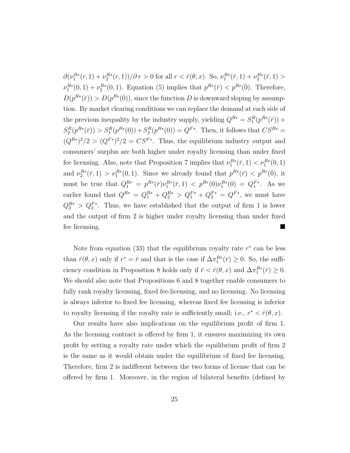$\partial(\nu_1^{R*}(r,1)+\nu_2^{R*}(r,1))/\partial r > 0$  for all  $r < \hat{r}(\theta,x)$ . So,  $\nu_1^{R*}(\bar{r},1)+\nu_2^{R*}(\bar{r},1) >$  $\nu_1^{R*}(0,1) + \nu_2^{R*}(0,1)$ . Equation (5) implies that  $p^{R*}(\bar{r}) < p^{R*}(\bar{0})$ . Therefore,  $D(p^{R*}(\bar{r})) > D(p^{R*}(\bar{0}))$ , since the function D is downward sloping by assumption. By market clearing conditions we can replace the demand at each side of the previous inequality by the industry supply, yielding  $Q^{R*} = S_1^R(p^{R*}(\bar{r}))$  +  $S_2^R(p^{R*}(\bar{r})) > S_1^R(p^{R*}(0)) + S_2^R(p^{R*}(0)) = Q^{F*}$ . Then, it follows that  $CS^{R*} =$  $(Q^{R*})^2/2 > (Q^{F*})^2/2 = CS^{F*}$ . Thus, the equilibrium industry output and consumers' surplus are both higher under royalty licensing than under fixed fee licensing. Also, note that Proposition 7 implies that  $\nu_1^{R*}(\bar{r}, 1) < \nu_1^{R*}(0, 1)$ and  $\nu_2^{R*}(\bar{r},1) > \nu_1^{R*}(0,1)$ . Since we already found that  $p^{R*}(\bar{r}) < p^{R*}(\bar{0})$ , it must be true that  $Q_1^{R*} = p^{R*}(\bar{r})\nu_1^{R*}(\bar{r},1) < p^{R*}(0)\nu_1^{R*}(0) = Q_1^{F*}$ . As we earlier found that  $Q^{R*} = Q_1^{R*} + Q_2^{R*} > Q_1^{F*} + Q_2^{F*} = Q^{F*}$ , we must have  $Q_2^{R*} > Q_2^{F*}$ . Thus, we have established that the output of firm 1 is lower and the output of firm 2 is higher under royalty licensing than under fixed fee licensing.

Note from equation  $(33)$  that the equilibrium royalty rate  $r^*$  can be less than  $\hat{r}(\theta, x)$  only if  $r^* = \bar{r}$  and that is the case if  $\Delta \pi_1^{R*}(\bar{r}) \geq 0$ . So, the sufficiency condition in Proposition 8 holds only if  $\bar{r} < \hat{r}(\theta, x)$  and  $\Delta \pi_1^{R*}(\bar{r}) \geq 0$ . We should also note that Propositions 6 and 8 together enable consumers to fully rank royalty licensing, fixed fee-licensing, and no licensing. No licensing is always inferior to fixed fee licensing, whereas fixed fee licensing is inferior to royalty licensing if the royalty rate is sufficiently small; i.e.,  $r^* < \hat{r}(\theta, x)$ .

Our results have also implications on the equilibrium profit of firm 1. As the licensing contract is offered by firm 1, it ensures maximizing its own profit by setting a royalty rate under which the equilibrium profit of firm 2 is the same as it would obtain under the equilibrium of fixed fee licensing. Therefore, firm 2 is indifferent between the two forms of license that can be offered by firm 1. Moreover, in the region of bilateral benefits (defined by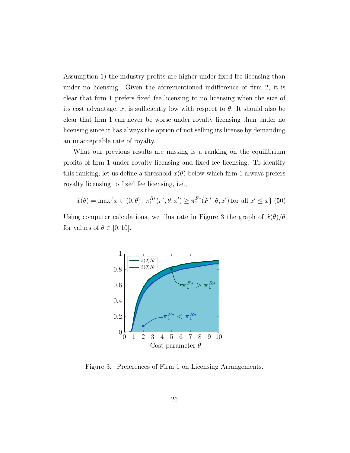Assumption 1) the industry profits are higher under fixed fee licensing than under no licensing. Given the aforementioned indifference of firm 2, it is clear that firm 1 prefers fixed fee licensing to no licensing when the size of its cost advantage, x, is sufficiently low with respect to  $\theta$ . It should also be clear that firm 1 can never be worse under royalty licensing than under no licensing since it has always the option of not selling its license by demanding an unacceptable rate of royalty.

What our previous results are missing is a ranking on the equilibrium profits of firm 1 under royalty licensing and fixed fee licensing. To identify this ranking, let us define a threshold  $\hat{x}(\theta)$  below which firm 1 always prefers royalty licensing to fixed fee licensing, i.e.,

$$
\hat{x}(\theta) = \max\{x \in (0, \theta] : \pi_1^{R*}(r^*, \theta, x') \ge \pi_1^{F*}(F^*, \theta, x') \text{ for all } x' \le x\}.
$$
 (50)

Using computer calculations, we illustrate in Figure 3 the graph of  $\hat{x}(\theta)/\theta$ for values of  $\theta \in [0, 10]$ .



Figure 3. Preferences of Firm 1 on Licensing Arrangements.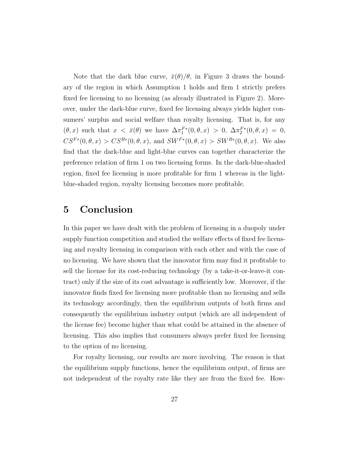Note that the dark blue curve,  $\bar{x}(\theta)/\theta$ , in Figure 3 draws the boundary of the region in which Assumption 1 holds and firm 1 strictly prefers fixed fee licensing to no licensing (as already illustrated in Figure 2). Moreover, under the dark-blue curve, fixed fee licensing always yields higher consumers' surplus and social welfare than royalty licensing. That is, for any  $(\theta, x)$  such that  $x < \bar{x}(\theta)$  we have  $\Delta \pi_1^{F*}(0, \theta, x) > 0$ ,  $\Delta \pi_2^{F*}(0, \theta, x) = 0$ ,  $CS^{F*}(0, \theta, x) > CS^{R*}(0, \theta, x)$ , and  $SW^{F*}(0, \theta, x) > SW^{R*}(0, \theta, x)$ . We also find that the dark-blue and light-blue curves can together characterize the preference relation of firm 1 on two licensing forms. In the dark-blue-shaded region, fixed fee licensing is more profitable for firm 1 whereas in the lightblue-shaded region, royalty licensing becomes more profitable.

# 5 Conclusion

In this paper we have dealt with the problem of licensing in a duopoly under supply function competition and studied the welfare effects of fixed fee licensing and royalty licensing in comparison with each other and with the case of no licensing. We have shown that the innovator firm may find it profitable to sell the license for its cost-reducing technology (by a take-it-or-leave-it contract) only if the size of its cost advantage is sufficiently low. Moreover, if the innovator finds fixed fee licensing more profitable than no licensing and sells its technology accordingly, then the equilibrium outputs of both firms and consequently the equilibrium industry output (which are all independent of the license fee) become higher than what could be attained in the absence of licensing. This also implies that consumers always prefer fixed fee licensing to the option of no licensing.

For royalty licensing, our results are more involving. The reason is that the equilibrium supply functions, hence the equilibrium output, of firms are not independent of the royalty rate like they are from the fixed fee. How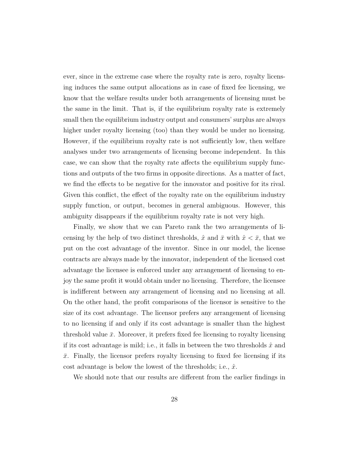ever, since in the extreme case where the royalty rate is zero, royalty licensing induces the same output allocations as in case of fixed fee licensing, we know that the welfare results under both arrangements of licensing must be the same in the limit. That is, if the equilibrium royalty rate is extremely small then the equilibrium industry output and consumers' surplus are always higher under royalty licensing (too) than they would be under no licensing. However, if the equilibrium royalty rate is not sufficiently low, then welfare analyses under two arrangements of licensing become independent. In this case, we can show that the royalty rate affects the equilibrium supply functions and outputs of the two firms in opposite directions. As a matter of fact, we find the effects to be negative for the innovator and positive for its rival. Given this conflict, the effect of the royalty rate on the equilibrium industry supply function, or output, becomes in general ambiguous. However, this ambiguity disappears if the equilibrium royalty rate is not very high.

Finally, we show that we can Pareto rank the two arrangements of licensing by the help of two distinct thresholds,  $\hat{x}$  and  $\bar{x}$  with  $\hat{x} < \bar{x}$ , that we put on the cost advantage of the inventor. Since in our model, the license contracts are always made by the innovator, independent of the licensed cost advantage the licensee is enforced under any arrangement of licensing to enjoy the same profit it would obtain under no licensing. Therefore, the licensee is indifferent between any arrangement of licensing and no licensing at all. On the other hand, the profit comparisons of the licensor is sensitive to the size of its cost advantage. The licensor prefers any arrangement of licensing to no licensing if and only if its cost advantage is smaller than the highest threshold value  $\bar{x}$ . Moreover, it prefers fixed fee licensing to royalty licensing if its cost advantage is mild; i.e., it falls in between the two thresholds  $\hat{x}$  and  $\bar{x}$ . Finally, the licensor prefers royalty licensing to fixed fee licensing if its cost advantage is below the lowest of the thresholds; i.e.,  $\hat{x}$ .

We should note that our results are different from the earlier findings in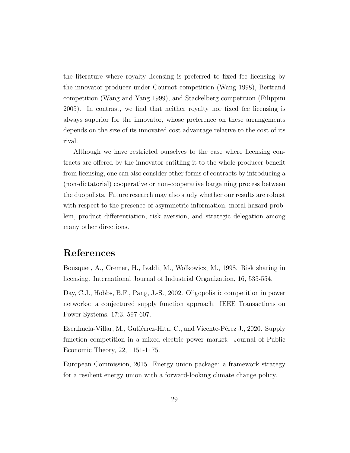the literature where royalty licensing is preferred to fixed fee licensing by the innovator producer under Cournot competition (Wang 1998), Bertrand competition (Wang and Yang 1999), and Stackelberg competition (Filippini 2005). In contrast, we find that neither royalty nor fixed fee licensing is always superior for the innovator, whose preference on these arrangements depends on the size of its innovated cost advantage relative to the cost of its rival.

Although we have restricted ourselves to the case where licensing contracts are offered by the innovator entitling it to the whole producer benefit from licensing, one can also consider other forms of contracts by introducing a (non-dictatorial) cooperative or non-cooperative bargaining process between the duopolists. Future research may also study whether our results are robust with respect to the presence of asymmetric information, moral hazard problem, product differentiation, risk aversion, and strategic delegation among many other directions.

## References

Bousquet, A., Cremer, H., Ivaldi, M., Wolkowicz, M., 1998. Risk sharing in licensing. International Journal of Industrial Organization, 16, 535-554.

Day, C.J., Hobbs, B.F., Pang, J.-S., 2002. Oligopolistic competition in power networks: a conjectured supply function approach. IEEE Transactions on Power Systems, 17:3, 597-607.

Escrihuela-Villar, M., Gutiérrez-Hita, C., and Vicente-Pérez J., 2020. Supply function competition in a mixed electric power market. Journal of Public Economic Theory, 22, 1151-1175.

European Commission, 2015. Energy union package: a framework strategy for a resilient energy union with a forward-looking climate change policy.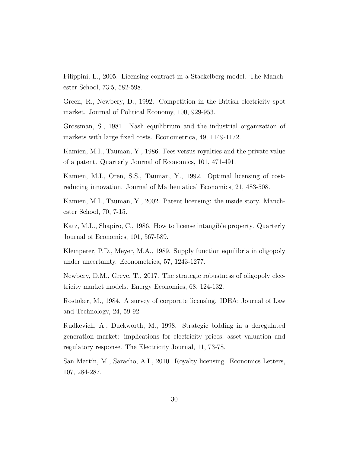Filippini, L., 2005. Licensing contract in a Stackelberg model. The Manchester School, 73:5, 582-598.

Green, R., Newbery, D., 1992. Competition in the British electricity spot market. Journal of Political Economy, 100, 929-953.

Grossman, S., 1981. Nash equilibrium and the industrial organization of markets with large fixed costs. Econometrica, 49, 1149-1172.

Kamien, M.I., Tauman, Y., 1986. Fees versus royalties and the private value of a patent. Quarterly Journal of Economics, 101, 471-491.

Kamien, M.I., Oren, S.S., Tauman, Y., 1992. Optimal licensing of costreducing innovation. Journal of Mathematical Economics, 21, 483-508.

Kamien, M.I., Tauman, Y., 2002. Patent licensing: the inside story. Manchester School, 70, 7-15.

Katz, M.L., Shapiro, C., 1986. How to license intangible property. Quarterly Journal of Economics, 101, 567-589.

Klemperer, P.D., Meyer, M.A., 1989. Supply function equilibria in oligopoly under uncertainty. Econometrica, 57, 1243-1277.

Newbery, D.M., Greve, T., 2017. The strategic robustness of oligopoly electricity market models. Energy Economics, 68, 124-132.

Rostoker, M., 1984. A survey of corporate licensing. IDEA: Journal of Law and Technology, 24, 59-92.

Rudkevich, A., Duckworth, M., 1998. Strategic bidding in a deregulated generation market: implications for electricity prices, asset valuation and regulatory response. The Electricity Journal, 11, 73-78.

San Martín, M., Saracho, A.I., 2010. Royalty licensing. Economics Letters, 107, 284-287.